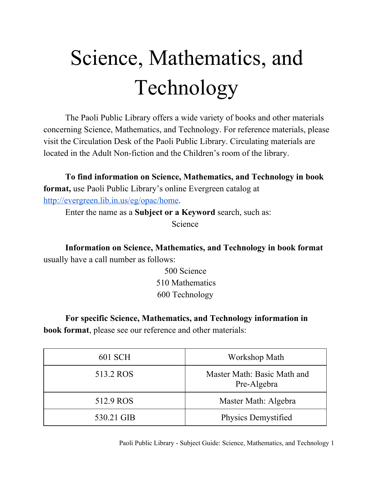## Science, Mathematics, and Technology

The Paoli Public Library offers a wide variety of books and other materials concerning Science, Mathematics, and Technology. For reference materials, please visit the Circulation Desk of the Paoli Public Library. Circulating materials are located in the Adult Non-fiction and the Children's room of the library.

**To find information on Science, Mathematics, and Technology in book format,** use Paoli Public Library's online Evergreen catalog at [http://evergreen.lib.in.us/eg/opac/home.](http://www.google.com/url?q=http%3A%2F%2Fevergreen.lib.in.us%2Feg%2Fopac%2Fhome&sa=D&sntz=1&usg=AFQjCNGsG5M-fKX2vRjqCLPN7y-hvpw6_w)

Enter the name as a **Subject or a Keyword** search, such as:

Science

**Information on Science, Mathematics, and Technology in book format** usually have a call number as follows:

> 500 Science 510 Mathematics 600 Technology

**For specific Science, Mathematics, and Technology information in**

**book format**, please see our reference and other materials:

| 601 SCH    | Workshop Math                              |
|------------|--------------------------------------------|
| 513.2 ROS  | Master Math: Basic Math and<br>Pre-Algebra |
| 512.9 ROS  | Master Math: Algebra                       |
| 530.21 GIB | Physics Demystified                        |

Paoli Public Library - Subject Guide: Science, Mathematics, and Technology 1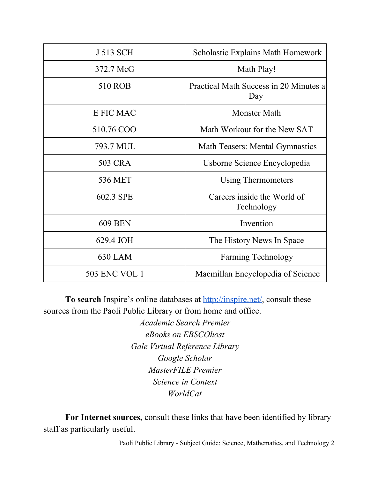| J 513 SCH            | <b>Scholastic Explains Math Homework</b>      |
|----------------------|-----------------------------------------------|
| 372.7 McG            | Math Play!                                    |
| 510 ROB              | Practical Math Success in 20 Minutes a<br>Day |
| <b>E FIC MAC</b>     | <b>Monster Math</b>                           |
| 510.76 COO           | Math Workout for the New SAT                  |
| 793.7 MUL            | <b>Math Teasers: Mental Gymnastics</b>        |
| 503 CRA              | Usborne Science Encyclopedia                  |
| 536 MET              | <b>Using Thermometers</b>                     |
| 602.3 SPE            | Careers inside the World of<br>Technology     |
| <b>609 BEN</b>       | Invention                                     |
| 629.4 JOH            | The History News In Space                     |
| <b>630 LAM</b>       | <b>Farming Technology</b>                     |
| <b>503 ENC VOL 1</b> | Macmillan Encyclopedia of Science             |

**To search** Inspire's online databases at **http://inspire.net/**, consult these sources from the Paoli Public Library or from home and office.

> *Academic Search Premier eBooks on EBSCOhost Gale Virtual Reference Library Google Scholar MasterFILE Premier Science in Context WorldCat*

**For Internet sources,** consult these links that have been identified by library staff as particularly useful.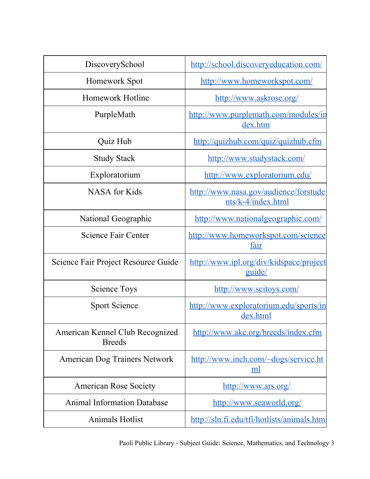| DiscoverySchool                                  | http://school.discoveryeducation.com/                       |
|--------------------------------------------------|-------------------------------------------------------------|
| Homework Spot                                    | http://www.homeworkspot.com/                                |
| Homework Hotline                                 | http://www.askrose.org/                                     |
| PurpleMath                                       | http://www.purplemath.com/modules/in<br>dex.htm             |
| Quiz Hub                                         | http://quizhub.com/quiz/quizhub.cfm                         |
| <b>Study Stack</b>                               | http://www.studystack.com/                                  |
| Exploratorium                                    | http://www.exploratorium.edu/                               |
| <b>NASA</b> for Kids                             | http://www.nasa.gov/audience/forstude<br>nts/k-4/index.html |
| National Geographic                              | http://www.nationalgeographic.com/                          |
| Science Fair Center                              | http://www.homeworkspot.com/science<br>fair                 |
| Science Fair Project Resource Guide              | http://www.ipl.org/div/kidspace/project<br>guide/           |
| <b>Science Toys</b>                              | http://www.scitoys.com/                                     |
| <b>Sport Science</b>                             | http://www.exploratorium.edu/sports/in<br>dex.html          |
| American Kennel Club Recognized<br><b>Breeds</b> | http://www.akc.org/breeds/index.cfm                         |
| American Dog Trainers Network                    | http://www.inch.com/~dogs/service.ht<br><u>ml</u>           |
| <b>American Rose Society</b>                     | http://www.ars.org/                                         |
| <b>Animal Information Database</b>               | http://www.seaworld.org/                                    |
| <b>Animals Hotlist</b>                           | http://sln.fi.edu/tfi/hotlists/animals.html                 |

Paoli Public Library - Subject Guide: Science, Mathematics, and Technology 3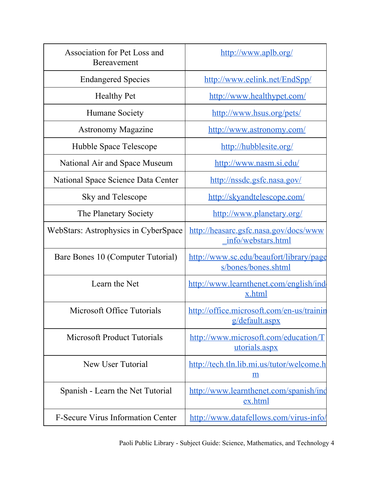| Association for Pet Loss and<br>Bereavement | http://www.aplb.org/                                           |
|---------------------------------------------|----------------------------------------------------------------|
| <b>Endangered Species</b>                   | http://www.eelink.net/EndSpp/                                  |
| <b>Healthy Pet</b>                          | http://www.healthypet.com/                                     |
| Humane Society                              | http://www.hsus.org/pets/                                      |
| <b>Astronomy Magazine</b>                   | http://www.astronomy.com/                                      |
| Hubble Space Telescope                      | http://hubblesite.org/                                         |
| National Air and Space Museum               | http://www.nasm.si.edu/                                        |
| National Space Science Data Center          | http://nssdc.gsfc.nasa.gov/                                    |
| Sky and Telescope                           | http://skyandtelescope.com/                                    |
| The Planetary Society                       | http://www.planetary.org/                                      |
| <b>WebStars: Astrophysics in CyberSpace</b> | http://heasarc.gsfc.nasa.gov/docs/www<br>info/webstars.html    |
| Bare Bones 10 (Computer Tutorial)           | http://www.sc.edu/beaufort/library/page<br>s/bones/bones.shtml |
| Learn the Net                               | http://www.learnthenet.com/english/ind<br>x.html               |
| Microsoft Office Tutorials                  | http://office.microsoft.com/en-us/trainin<br>$g$ /default.aspx |
| <b>Microsoft Product Tutorials</b>          | http://www.microsoft.com/education/T<br>utorials.aspx          |
| New User Tutorial                           | http://tech.tln.lib.mi.us/tutor/welcome.h<br><u>m</u>          |
| Spanish - Learn the Net Tutorial            | http://www.learnthenet.com/spanish/ind<br>ex.html              |
| <b>F-Secure Virus Information Center</b>    | http://www.datafellows.com/virus-info/                         |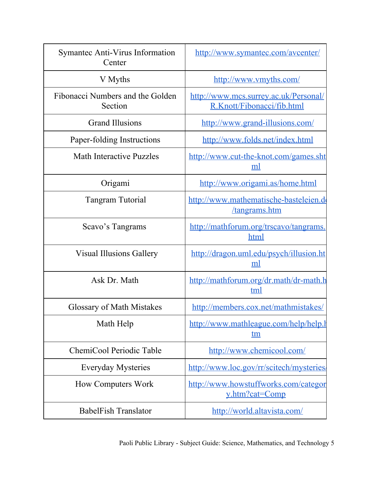| Symantec Anti-Virus Information<br>Center   | http://www.symantec.com/avcenter/                                   |
|---------------------------------------------|---------------------------------------------------------------------|
| V Myths                                     | http://www.vmyths.com/                                              |
| Fibonacci Numbers and the Golden<br>Section | http://www.mcs.surrey.ac.uk/Personal/<br>R.Knott/Fibonacci/fib.html |
| <b>Grand Illusions</b>                      | http://www.grand-illusions.com/                                     |
| Paper-folding Instructions                  | http://www.folds.net/index.html                                     |
| <b>Math Interactive Puzzles</b>             | http://www.cut-the-knot.com/games.sht<br>ml                         |
| Origami                                     | http://www.origami.as/home.html                                     |
| <b>Tangram Tutorial</b>                     | http://www.mathematische-basteleien.do<br>/tangrams.htm             |
| Scavo's Tangrams                            | http://mathforum.org/trscavo/tangrams<br>html                       |
| <b>Visual Illusions Gallery</b>             | http://dragon.uml.edu/psych/illusion.ht<br>ml                       |
| Ask Dr. Math                                | http://mathforum.org/dr.math/dr-math.h<br>tml                       |
| <b>Glossary of Math Mistakes</b>            | http://members.cox.net/mathmistakes/                                |
| Math Help                                   | http://www.mathleague.com/help/help.l<br>tm                         |
| ChemiCool Periodic Table                    | http://www.chemicool.com/                                           |
| <b>Everyday Mysteries</b>                   | http://www.loc.gov/rr/scitech/mysteries/                            |
| <b>How Computers Work</b>                   | http://www.howstuffworks.com/categor<br>y.htm?cat=Comp              |
| <b>BabelFish Translator</b>                 | http://world.altavista.com/                                         |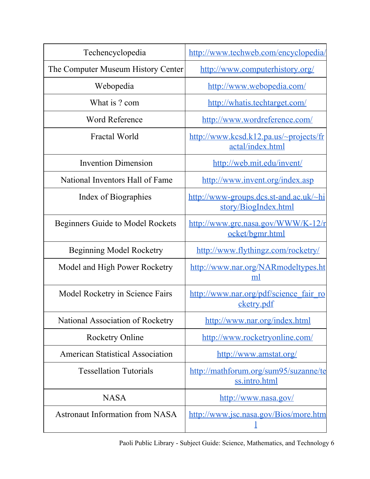| Techencyclopedia                        | http://www.techweb.com/encyclopedia/                           |
|-----------------------------------------|----------------------------------------------------------------|
| The Computer Museum History Center      | http://www.computerhistory.org/                                |
| Webopedia                               | http://www.webopedia.com/                                      |
| What is ? com                           | http://whatis.techtarget.com/                                  |
| <b>Word Reference</b>                   | http://www.wordreference.com/                                  |
| Fractal World                           | http://www.kcsd.k12.pa.us/~projects/fr<br>actal/index.html     |
| <b>Invention Dimension</b>              | http://web.mit.edu/invent/                                     |
| National Inventors Hall of Fame         | http://www.invent.org/index.asp                                |
| Index of Biographies                    | http://www-groups.dcs.st-and.ac.uk/~hi<br>story/BiogIndex.html |
| <b>Beginners Guide to Model Rockets</b> | http://www.grc.nasa.gov/WWW/K-12/r<br>ocket/bgmr.html          |
| Beginning Model Rocketry                | http://www.flythingz.com/rocketry/                             |
| Model and High Power Rocketry           | http://www.nar.org/NARmodeltypes.ht<br>ml                      |
| Model Rocketry in Science Fairs         | http://www.nar.org/pdf/science fair ro<br>cketry.pdf           |
| National Association of Rocketry        | http://www.nar.org/index.html                                  |
| <b>Rocketry Online</b>                  | http://www.rocketryonline.com/                                 |
| <b>American Statistical Association</b> | http://www.amstat.org/                                         |
| <b>Tessellation Tutorials</b>           | http://mathforum.org/sum95/suzanne/te<br>ss.intro.html         |
| <b>NASA</b>                             | http://www.nasa.gov/                                           |
| <b>Astronaut Information from NASA</b>  | http://www.jsc.nasa.gov/Bios/more.htm                          |